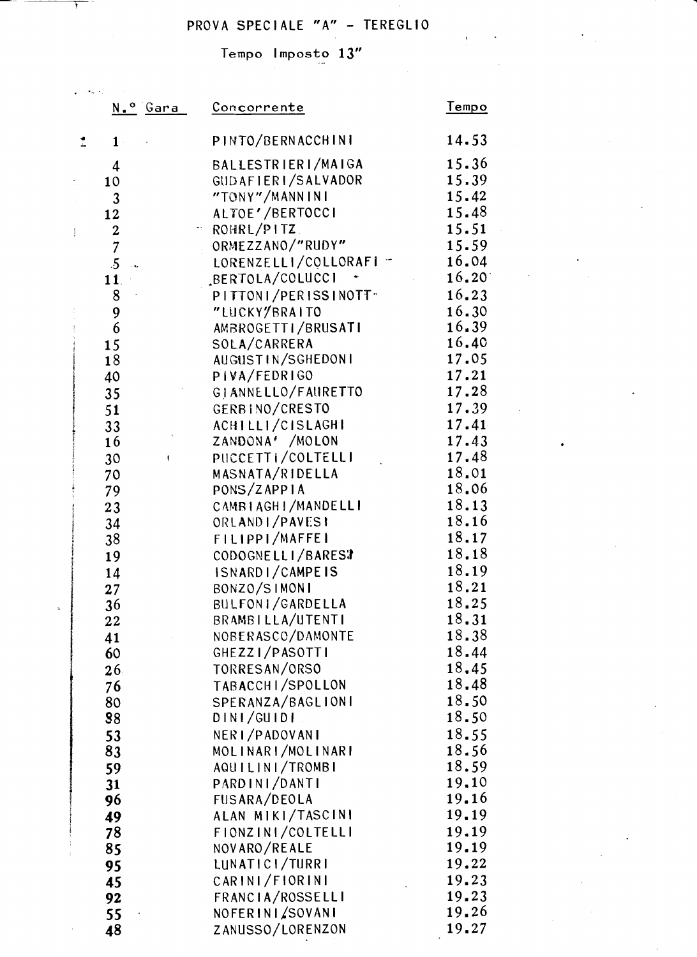# PROVA SPECIALE "A" - TEREGLIO

 $\frac{1}{2}$ 

 $\ddot{\phantom{a}}$ 

Tempo Imposto 13"

 $\frac{1}{2}$  ,  $\frac{1}{2}$  ,  $\frac{1}{2}$  ,  $\frac{1}{2}$ 

|               | N.º Gara                     | Concorrente                      | Tempo           |
|---------------|------------------------------|----------------------------------|-----------------|
|               | $1 -$                        | PINTO/BERNACCHINI                | 14.53           |
|               | $\boldsymbol{4}$             | BALLESTRIERI/MAIGA               | 15.36           |
|               | 10                           | GUDAFIERI/SALVADOR               | 15.39           |
|               | 3                            | "TONY"/MANNINI                   | 15.42           |
|               | 12                           | ALTOE'/BERTOCCI                  | 15.48           |
| $\frac{3}{4}$ | $\boldsymbol{2}$             | ROHRL/PITZ.                      | 15.51           |
|               | $\overline{7}$               | ORMEZZANO/"RUDY"                 | 15.59           |
|               | $.5\,$<br>$\sim$ $\bullet$ . | LORENZELLI/COLLORAFI -           | 16.04           |
|               | 11.                          | BERTOLA/COLUCCI                  | $16.20^{\circ}$ |
|               | $8\,$                        | PITTONI/PERISSINOTT <sup>®</sup> | 16.23           |
|               | 9                            | "LUCKY/BRAITO                    | 16.30           |
|               | 6                            | AMBROGETTI/BRUSATI               | 16.39           |
|               | 15                           | SOLA/CARRERA                     | 16.40           |
|               | 18                           | AUGUSTIN/SGHEDONI                | 17.05           |
|               | 40                           | PIVA/FEDRIGO                     | 17.21           |
|               | 35                           | GIANNELLO/FAURETTO               | 17.28           |
|               | 51                           | GERBINO/CRESTO                   | 17.39           |
|               | 33                           | ACHILLI/CISLAGHI                 | 17.41           |
|               | 16                           | ZANDONA' /MOLON                  | 17.43           |
|               | 30<br>ł.                     | PUCCETTI/COLTELLI                | 17.48<br>18.01  |
|               | 70                           | MASNATA/RIDELLA<br>PONS/ZAPPIA   | 18.06           |
|               | 79                           | CAMBIAGH ! / MANDELL !           | 18.13           |
|               | 23<br>34                     | ORLANDI/PAVESI                   | 18.16           |
|               | 38                           | FILIPPI/MAFFEI                   | 18.17           |
|               | 19                           | CODOGNELLI/BAREST                | 18.18           |
|               | 14                           | ISNARDI/CAMPEIS                  | 18.19           |
|               | 27                           | BONZO/SIMONI                     | 18.21           |
|               | 36                           | BULFONI/GARDELLA                 | 18.25           |
|               | 22                           | BRAMBILLA/UTENTI                 | 18.31           |
|               | 41                           | NOBERASCO/DAMONTE                | 18.38           |
|               | 60                           | GHEZZI/PASOTTI                   | 18.44           |
|               | 26                           | TORRESAN/ORSO                    | 18.45           |
|               | 76                           | TABACCHI/SPOLLON                 | 18.48           |
|               | 80                           | SPERANZA/BAGLIONI                | 18.50           |
|               | 88                           | DINI/GUIDI.                      | 18.50           |
|               | 53                           | NERI/PADOVANI                    | 18.55           |
|               | 83                           | MOLINARI/MOLINARI                | 18.56           |
|               | 59                           | AQUILINI/TROMBI                  | 18.59           |
|               | 31                           | PARDINI/DANTI                    | 19.10           |
|               | 96                           | FUSARA/DEOLA                     | 19.16           |
|               | 49                           | ALAN MIKI/TASCINI                | 19.19           |
|               | 78                           | FIONZINI/COLTELLI                | 19.19<br>19.19  |
|               | 85                           | NOVARO/REALE<br>LUNATICI/TURRI   | 19.22           |
|               | 95                           | CARINI/FIORINI                   | 19.23           |
|               | 45<br>92                     | FRANCIA/ROSSELLI                 | 19.23           |
|               | 55                           | NOFERINI/SOVANI                  | 19.26           |
|               | 48                           | ZANUSSO/LORENZON                 | 19.27           |
|               |                              |                                  |                 |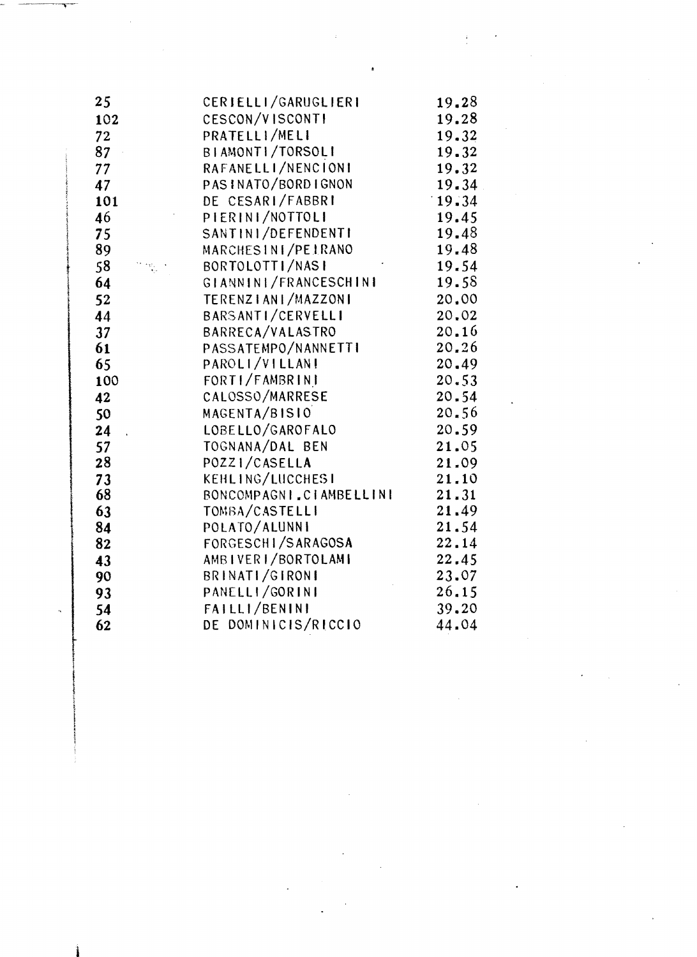| 25       | CERIELLI/GARUGLIERI                 | 19.28          |
|----------|-------------------------------------|----------------|
| 102      | CESCON/VISCONTI                     | 19.28          |
| 72       | PRATELLI/MELI                       | 19.32          |
| 87       | BIAMONTI/TORSOLI                    | 19.32          |
| 77       | RAFANELLI/NENCIONI                  | 19.32          |
| 47       | PASINATO/BORDIGNON                  | 19.34          |
| 101      | DE CESARI/FABBRI                    | 19.34          |
| 46       | PIERINI/NOTTOLI                     | 19.45          |
| 75       | SANTINI/DEFENDENTI                  | 19.48          |
| 89       | MARCHESINI/PEIRANO                  | 19.48          |
| 58       | BORTOLOTTI/NASI                     | 19.54          |
| 64       | GIANNINI/FRANCESCHINI               | 19.58          |
| 52       | TERENZIANI/MAZZONI                  | 20,00          |
| 44       | BARSANTI/CERVELLI                   | 20.02          |
| 37       | BARRECA/VALASTRO                    | 20.16          |
| 61       | PASSATEMPO/NANNETTI                 | 20.26          |
| 65       | PAROLI/VILLANI                      | 20.49          |
| 100      | FORTI/FAMBRINI                      | 20.53          |
| 42       | CALOSSO/MARRESE                     | 20.54          |
| 50       | MAGENTA/BISIO                       | 20.56          |
| 24       | LOBELLO/GAROFALO                    | 20.59          |
| 57       | TOGNANA/DAL BEN                     | 21.05          |
| 28       | POZZI/CASELLA                       | 21.09          |
| 73       | KEHLING/LUCCHESI                    | 21.10          |
| 68       | BONCOMPAGNI CIAMBELLINI             | 21.31          |
| 63       | TOMBA/CASTELLI                      | 21.49          |
| 84       | POLATO/ALUNNI<br>FORGESCHI/SARAGOSA | 21.54<br>22.14 |
| 82       | AMBIVERI/BORTOLAMI                  | 22.45          |
| 43<br>90 | BRINATI/GIRONI                      | 23.07          |
| 93       | PANELLI/GORINI                      | 26.15          |
| 54       | FAILLI/BENINI                       | 39.20          |
| 62       | DE DOMINICIS/RICCIO                 | 44.04          |
|          |                                     |                |

 $\label{eq:2.1} \frac{1}{\sqrt{2}}\sum_{i=1}^n\frac{1}{\sqrt{2}}\sum_{i=1}^n\frac{1}{\sqrt{2}}\sum_{i=1}^n\frac{1}{\sqrt{2}}\sum_{i=1}^n\frac{1}{\sqrt{2}}\sum_{i=1}^n\frac{1}{\sqrt{2}}\sum_{i=1}^n\frac{1}{\sqrt{2}}\sum_{i=1}^n\frac{1}{\sqrt{2}}\sum_{i=1}^n\frac{1}{\sqrt{2}}\sum_{i=1}^n\frac{1}{\sqrt{2}}\sum_{i=1}^n\frac{1}{\sqrt{2}}\sum_{i=1}^n\frac$ 

 $\label{eq:2.1} \frac{1}{\sqrt{2\pi}}\int_{0}^{\infty}\frac{1}{\sqrt{2\pi}}\left(\frac{1}{\sqrt{2\pi}}\right)^{2\alpha} \frac{1}{\sqrt{2\pi}}\int_{0}^{\infty}\frac{1}{\sqrt{2\pi}}\frac{1}{\sqrt{2\pi}}\int_{0}^{\infty}\frac{1}{\sqrt{2\pi}}\frac{1}{\sqrt{2\pi}}\frac{1}{\sqrt{2\pi}}\frac{1}{\sqrt{2\pi}}\frac{1}{\sqrt{2\pi}}\frac{1}{\sqrt{2\pi}}\frac{1}{\sqrt{2\pi}}\frac{1}{\sqrt{2\pi}}\frac{1}{\$ 

 $\mathcal{F}_{\text{max}}$ 

 $\label{eq:2.1} \frac{1}{\sqrt{2}}\int_{0}^{\infty}\frac{d\mu}{\lambda} \left(\frac{d\mu}{\lambda} - \frac{d\mu}{\lambda}\right) \frac{d\mu}{\lambda} \, d\mu = \frac{1}{2} \int_{0}^{\infty}\frac{d\mu}{\lambda} \frac{d\mu}{\lambda} \, d\mu = \frac{1}{2} \int_{0}^{\infty}\frac{d\mu}{\lambda} \, d\mu = \frac{1}{2} \int_{0}^{\infty}\frac{d\mu}{\lambda} \, d\mu = \frac{1}{2} \int_{0}^{\infty}\frac{d\mu}{\lambda} \, d\mu = \frac{$ 

 $\label{eq:2.1} \frac{1}{2} \sum_{i=1}^n \frac{1}{2} \sum_{j=1}^n \frac{1}{2} \sum_{j=1}^n \frac{1}{2} \sum_{j=1}^n \frac{1}{2} \sum_{j=1}^n \frac{1}{2} \sum_{j=1}^n \frac{1}{2} \sum_{j=1}^n \frac{1}{2} \sum_{j=1}^n \frac{1}{2} \sum_{j=1}^n \frac{1}{2} \sum_{j=1}^n \frac{1}{2} \sum_{j=1}^n \frac{1}{2} \sum_{j=1}^n \frac{1}{2} \sum_{j=1}^n \frac{$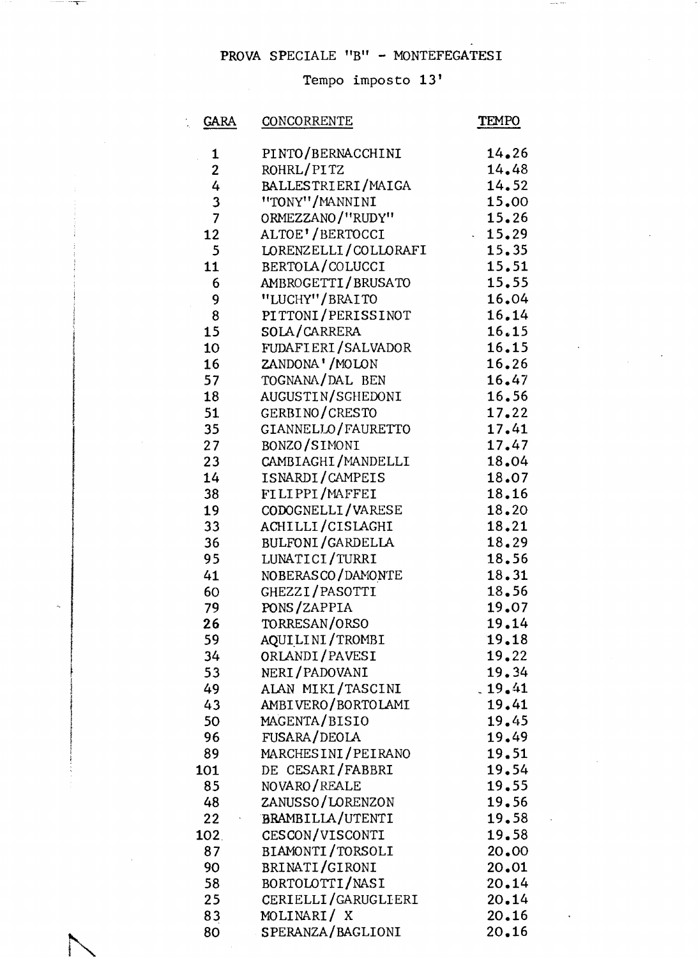#### PROVA SPECIALE "B" - MONTEFEGATESI

 $\mathbf{\tau}$ 

 $\sqrt{2\pi}$ 

#### Tempo imposto 13'

| <b>GARA</b>      | CONCORRENTE             | TEMPO  |
|------------------|-------------------------|--------|
|                  |                         |        |
| $\mathbf{1}$     | PINTO/BERNACCHINI       | 14.26  |
| $\boldsymbol{2}$ | ROHRL/PITZ              | 14.48  |
| 4                | BALLESTRIERI/MAIGA      | 14.52  |
| $\frac{3}{7}$    | "TONY"/MANNINI          | 15.00  |
|                  | ORMEZZANO/"RUDY"        | 15.26  |
| 12               | ALTOE' / BERTOCCI       | 15.29  |
| 5                | LORENZELLI/COLLORAFI    | 15.35  |
| 11               | BERTOLA/COLUCCI         | 15.51  |
| 6                | AMBROGETTI/BRUSATO      | 15.55  |
| 9                | "LUCHY"/BRAITO          | 16.04  |
| 8                | PITTONI/PERISSINOT      | 16.14  |
| 15               | SOLA/CARRERA            | 16.15  |
| 10               | FUDAFIERI/SALVADOR      | 16.15  |
| 16               | ZANDONA'/MOLON          | 16.26  |
| 57               | TOGNANA/DAL BEN         | 16.47  |
| 18               | AUGUSTIN/SGHEDONI       | 16.56  |
| 51               | GERBINO/CRESTO          | 17.22  |
| 35               | GIANNELLO/FAURETTO      | 17.41  |
| 27               | BONZO/SIMONI            | 17.47  |
| 23               | CAMBIAGHI/MANDELLI      | 18.04  |
| 14               | ISNARDI/CAMPEIS         | 18.07  |
| 38               | FILIPPI/MAFFEI          | 18.16  |
| 19               | CODOGNELLI/VARESE       | 18.20  |
| 33               | ACHILLI/CISLAGHI        | 18.21  |
| 36               | <b>BULFONI/GARDELLA</b> | 18.29  |
| 95               | LUNATICI/TURRI          | 18.56  |
|                  | NOBERASCO/DAMONTE       | 18.31  |
| 41               | GHEZZI/PASOTTI          |        |
| 60               |                         | 18.56  |
| 79               | PONS/ZAPPIA             | 19.07  |
| 26               | TORRESAN/ORSO           | 19.14  |
| 59               | AQUILINI/TROMBI         | 19.18  |
| 34               | ORLANDI/PAVESI          | 19.22  |
| 53               | NERI/PADOVANI           | 19.34  |
| 49               | ALAN MIKI/TASCINI       | .19.41 |
| 43               | AMBIVERO/BORTOLAMI      | 19.41  |
| 50               | MAGENTA/BISIO           | 19.45  |
| 96               | FUSARA/DEOLA            | 19.49  |
| 89               | MARCHESINI/PEIRANO      | 19.51  |
| 101              | DE CESARI/FABBRI        | 19.54  |
| 85               | NOVARO/REALE            | 19.55  |
| 48               | ZANUSSO/LORENZON        | 19.56  |
| 22               | <b>BRAMBILIA/UTENTI</b> | 19.58  |
| 102.             | CESCON/VISCONTI         | 19.58  |
| 87               | BIAMONTI/TORSOLI        | 20.00  |
| 90               | BRINATI/GIRONI          | 20.01  |
| 58               | BORTOLOTTI/NASI         | 20.14  |
| 25               | CERIELLI/GARUGLIERI     | 20.14  |
| 83               | MOLINARI/X              | 20.16  |
| 80               | SPERANZA/BAGLIONI       | 20.16  |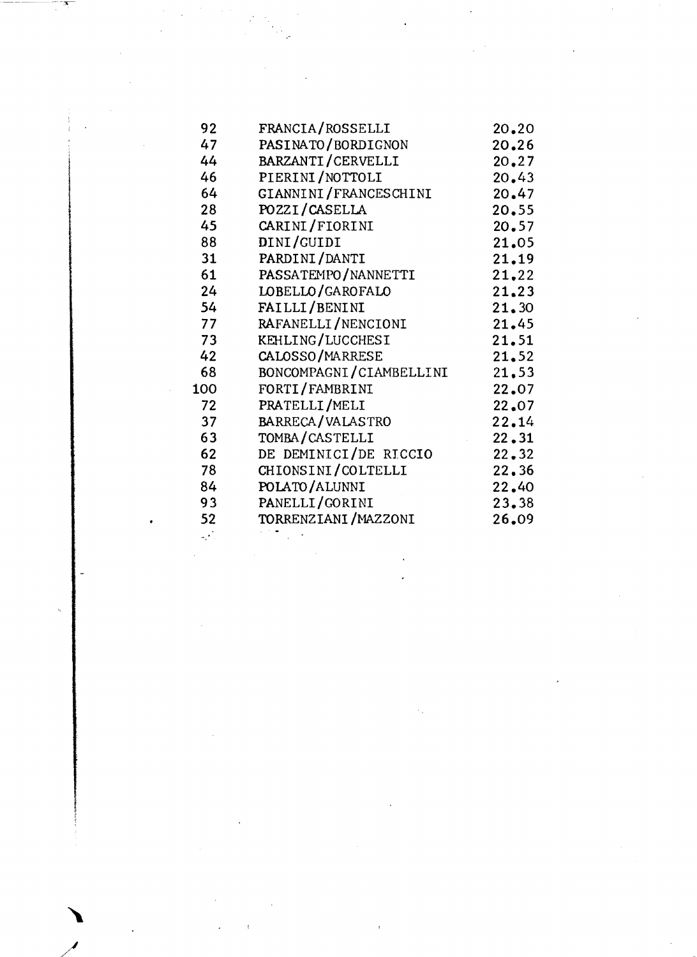| FRANCIA/ROSSELLI        | 20.20                                                                                  |
|-------------------------|----------------------------------------------------------------------------------------|
| PASINATO/BORDIGNON      | 20.26                                                                                  |
| BARZANTI/CERVELLI       | 20.27                                                                                  |
| PIERINI/NOTTOLI         | 20.43                                                                                  |
|                         | 20.47                                                                                  |
| POZZI/CASELLA           | 20.55                                                                                  |
| CARINI/FIORINI          | 20.57                                                                                  |
| DINI/GUIDI              | 21.05                                                                                  |
| PARDINI/DANTI           | 21.19                                                                                  |
| PASSATEMPO/NANNETTI     | 21,22                                                                                  |
| LOBELLO/GAROFALO        | 21.23                                                                                  |
| FAILLI/BENINI           | 21.30                                                                                  |
| RAFANELLI/NENCIONI      | 21.45                                                                                  |
|                         | 21.51                                                                                  |
| CALOSSO/MARRESE         | 21.52                                                                                  |
| BONCOMPAGNI/CIAMBELLINI | 21.53                                                                                  |
| FORTI/FAMBRINI          | 22.07                                                                                  |
| PRATELLI/MELI           | 22.07                                                                                  |
| BARRECA/VALASTRO        | 22.14                                                                                  |
| TOMBA/CASTELLI          | 22.31                                                                                  |
| DE DEMINICI/DE RICCIO   | 22.32                                                                                  |
|                         | 22,36                                                                                  |
| POLATO/ALUNNI           | 22.40                                                                                  |
| PANELLI/GORINI          | 23.38                                                                                  |
|                         | 26.09                                                                                  |
|                         | GIANNINI/FRANCESCHINI<br>KEHLING/LUCCHESI<br>CHIONSINI/COLTELLI<br>TORRENZIANI/MAZZONI |

 $\mathcal{L}_{\text{max}}$ 

 $\mathcal{A}^{\text{max}}_{\text{max}}$ 

 $\sim$   $\sim$ 

 $\mathcal{A}^{\mathcal{A}}$ 

 $\frac{1}{2}$ 

 $\mathcal{L}^{\text{max}}_{\text{max}}$  , where  $\mathcal{L}^{\text{max}}_{\text{max}}$ 

 $\label{eq:2.1} \mathcal{L}(\mathcal{L}^{\mathcal{L}}_{\mathcal{L}}(\mathcal{L}^{\mathcal{L}}_{\mathcal{L}})) \leq \mathcal{L}(\mathcal{L}^{\mathcal{L}}_{\mathcal{L}}(\mathcal{L}^{\mathcal{L}}_{\mathcal{L}})) \leq \mathcal{L}(\mathcal{L}^{\mathcal{L}}_{\mathcal{L}}(\mathcal{L}^{\mathcal{L}}_{\mathcal{L}}))$ 

 $\label{eq:2.1} \frac{1}{\sqrt{2}}\left(\frac{1}{\sqrt{2}}\right)^{2} \left(\frac{1}{\sqrt{2}}\right)^{2} \left(\frac{1}{\sqrt{2}}\right)^{2} \left(\frac{1}{\sqrt{2}}\right)^{2} \left(\frac{1}{\sqrt{2}}\right)^{2} \left(\frac{1}{\sqrt{2}}\right)^{2} \left(\frac{1}{\sqrt{2}}\right)^{2} \left(\frac{1}{\sqrt{2}}\right)^{2} \left(\frac{1}{\sqrt{2}}\right)^{2} \left(\frac{1}{\sqrt{2}}\right)^{2} \left(\frac{1}{\sqrt{2}}\right)^{2} \left(\$ 

 $\hat{A}$ 

 $\label{eq:2.1} \mathcal{L}_{\mathcal{S}} = \mathcal{K}_{\mathcal{S}} = \mathcal{K}_{\mathcal{S}} = \mathcal{K}_{\mathcal{S}} = \mathcal{K}_{\mathcal{S}} = \mathcal{K}_{\mathcal{S}} = \mathcal{K}_{\mathcal{S}}$ 

 $\frac{1}{2}$ 

 $\sim 10^{-1}$ 

 $\sim$   $\sim$ 

 $\sum_{\ell=1}^{\infty}$ 

 $\mathcal{L}_{\text{max}}$ 

*/..1* 

-\_. ~:-x--

 $\mathcal{L}^{\text{max}}_{\text{max}}$  , where  $\mathcal{L}^{\text{max}}_{\text{max}}$ 

 $\label{eq:2.1} \mathcal{L}_{\mathcal{A}}(\mathcal{A}) = \mathcal{L}_{\mathcal{A}}(\mathcal{A}) \mathcal{L}_{\mathcal{A}}(\mathcal{A}) = \mathcal{L}_{\mathcal{A}}(\mathcal{A})$ 

 $\label{eq:2.1} \mathcal{L}(\mathcal{L}^{\text{max}}_{\mathcal{L}}(\mathcal{L}^{\text{max}}_{\mathcal{L}}),\mathcal{L}^{\text{max}}_{\mathcal{L}}(\mathcal{L}^{\text{max}}_{\mathcal{L}}))$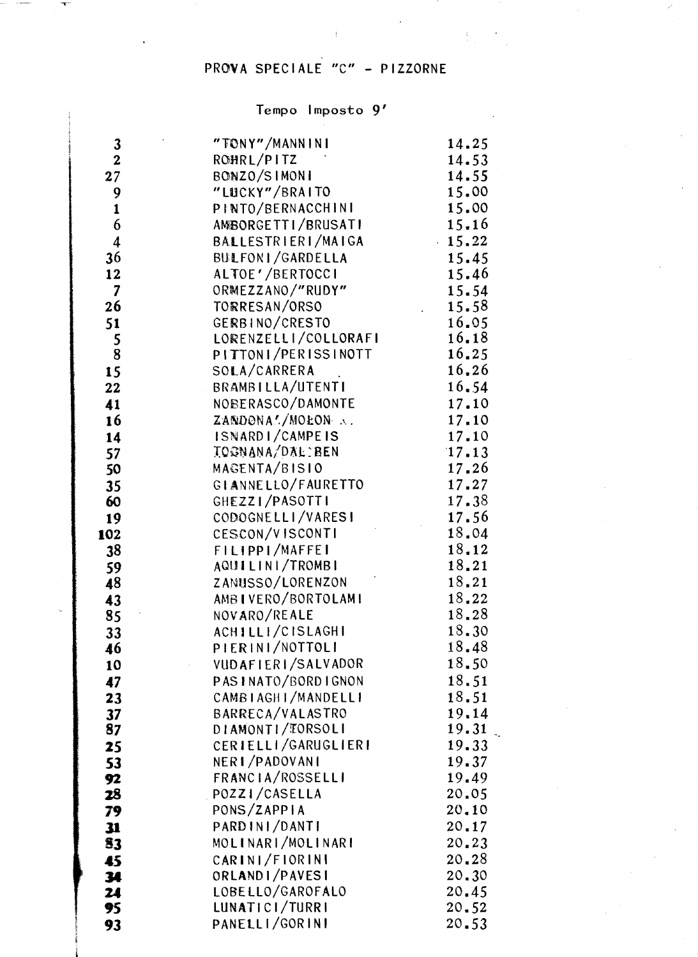## PROVA SPECIALE "C" - PIZZORNE

# Tempo Imposto 9'

| 3                       | "TONY"/MANNINI                   | 14.25          |
|-------------------------|----------------------------------|----------------|
| $\mathbf{2}$            | ROHRL/PITZ                       | 14.53          |
| 27                      | BONZO/SIMONI                     | 14.55          |
| 9                       | "LUCKY"/BRAITO                   | 15.00          |
| $\mathbf{1}$            | PINTO/BERNACCHINI                | 15.00          |
| 6                       | AMBORGETTI/BRUSATI               | 15.16          |
| $\boldsymbol{4}$        | BALLESTRIERI/MAIGA               | 15.22          |
| 36                      | BULFONI/GARDELLA                 | 15.45          |
| 12                      | ALTOE'/BERTOCCI                  | 15.46          |
| $\overline{\mathbf{z}}$ | ORMEZZANO/"RUDY"                 | 15.54          |
| 26                      | TORRESAN/ORSO                    | 15.58          |
| 51                      | GERBINO/CRESTO                   | 16.05          |
| 5                       | LORENZELLI/COLLORAFI             | 16.18          |
| 8                       | PITTONI/PERISSINOTT              | 16.25          |
| 15                      | SOLA/CARRERA                     | 16.26          |
| 22                      | BRAMBILLA/UTENTI                 | 16.54          |
| 41                      | NOBERASCO/DAMONTE                | 17.10          |
| 16                      | ZANDONAL/MOEON A.                | 17.10          |
| 14                      | ISNARDI/CAMPEIS                  | 17.10          |
| 57                      | <b>IOGNANA/DAL:BEN</b>           | 17.13          |
| 50                      | MAGENTA/BISIO                    | 17.26          |
| 35                      | GIANNELLO/FAURETTO               | 17.27          |
| 60                      | GHEZZI/PASOTTI                   | 17.38          |
| 19                      | CODOGNELLI/VARESI                | 17.56          |
| 102                     | CESCON/VISCONTI                  | 18.04          |
| 38                      | FILIPPI/MAFFEI                   | 18.12          |
| 59                      | AQUILINI/TROMBI                  | 18.21          |
| 48                      | ZANUSSO/LORENZON                 | 18,21          |
| 43                      | AMBIVERO/BORTOLAMI               | 18.22<br>18.28 |
| 85                      | NOVARO/REALE<br>ACHILLI/CISLAGHI | 18.30          |
| 33                      | PIERINI/NOTTOLI                  | 18.48          |
| 46                      | VUDAFIERI/SALVADOR               | 18.50          |
| 10                      | PASINATO/BORDIGNON               | 18.51          |
| 47<br>23                | CAMBIAGHI/MANDELLI               | 18.51          |
| 37                      | BARRECA/VALASTRO                 | 19.14          |
| 87                      | DIAMONTI/TORSOLI                 | 19.31          |
| 25                      | CERIELLI/GARUGLIERI              | 19.33          |
| 53                      | NERI/PADOVANI                    | 19.37          |
| 92                      | FRANCIA/ROSSELLI                 | 19.49          |
| 28                      | POZZI/CASELLA                    | 20.05          |
| 79                      | PONS/ZAPPIA                      | 20.10          |
| 31                      | PARDINI/DANTI                    | 20.17          |
| 83                      | MOLINARI/MOLINARI                | 20.23          |
| 45                      | CARINI/FIORINI                   | 20.28          |
| 34                      | ORLANDI/PAVESI                   | 20.30          |
| 24                      | LOBELLO/GAROFALO                 | 20.45          |
| 95                      | LUNATICI/TURRI                   | 20.52          |
| 93                      | PANELLI/GORINI                   | 20.53          |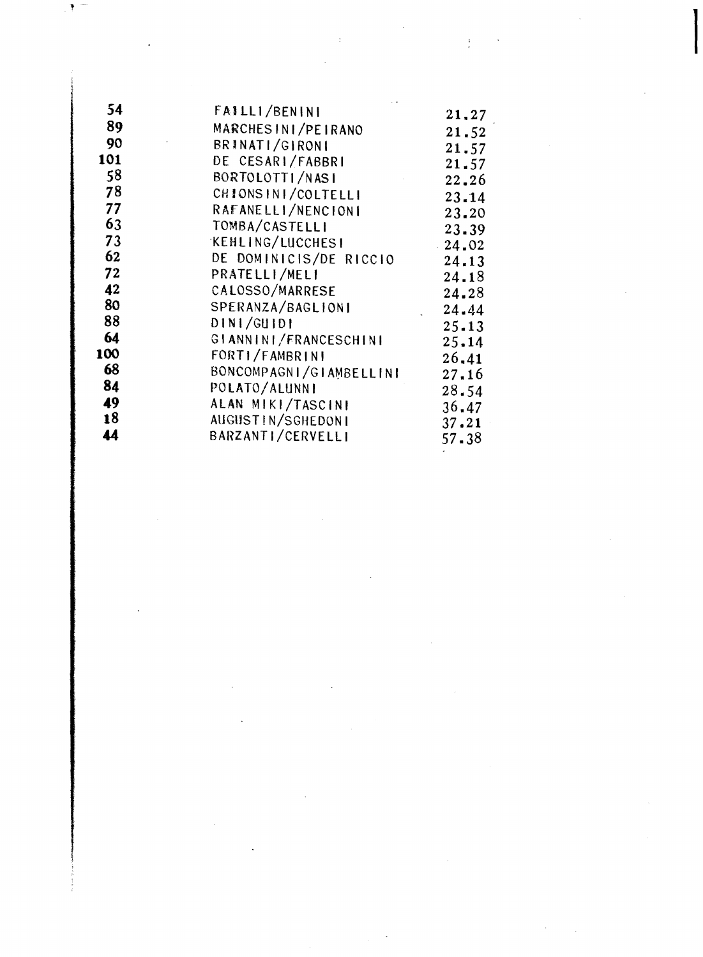| 54  | FAILLI/BENINI           | 21.27     |
|-----|-------------------------|-----------|
| 89  | MARCHESINI/PEIRANO      | 21.52     |
| 90  | BRINATI/GIRONI          | 21.57     |
| 101 | DE CESARI/FABBRI        | 21.57     |
| 58  | BORTOLOTTI/NASI         | 22.26     |
| 78  | CHIONS IN I/COLTELLI    | 23.14     |
| 77  | RAFANELLI/NENCIONI      | 23.20     |
| 63  | TOMBA/CASTELLI          | 23.39     |
| 73  | <b>KEHLING/LUCCHESI</b> | $-24.02$  |
| 62  | DE DOMINICIS/DE RICCIO  | 24.13     |
| 72  | PRATELLI/MELI           | 24.18     |
| 42  | CALOSSO/MARRESE         | 24.28     |
| 80  | SPERANZA/BAGLIONI       | 24.44     |
| 88  | DIN1/GUIDI              | $25 - 13$ |
| 64  | GIANNINI/FRANCESCHINI   | 25,14     |
| 100 | FORTI/FAMBRINI          | 26.41     |
| 68  | BONCOMPAGNI/GIAMBELLINI | 27.16     |
| 84  | POLATO/ALUNNI           | 28.54     |
| 49  | ALAN MIKI/TASCINI       | 36.47     |
| 18  | AUGUSTIN/SGHEDONI       | 37.21     |
| 44  | BARZANTI/CERVELLI       | 57.38     |
|     |                         |           |

 $\label{eq:2} \begin{split} \mathcal{L}_{\text{max}}(\mathbf{r}) = \mathcal{L}_{\text{max}}(\mathbf{r}) \mathcal{L}_{\text{max}}(\mathbf{r}) \end{split}$ 

 $\label{eq:2.1} \mathcal{L}(\mathcal{L}(\mathcal{L})) = \mathcal{L}(\mathcal{L}(\mathcal{L})) = \mathcal{L}(\mathcal{L}(\mathcal{L})) = \mathcal{L}(\mathcal{L}(\mathcal{L})) = \mathcal{L}(\mathcal{L}(\mathcal{L})) = \mathcal{L}(\mathcal{L}(\mathcal{L})) = \mathcal{L}(\mathcal{L}(\mathcal{L})) = \mathcal{L}(\mathcal{L}(\mathcal{L})) = \mathcal{L}(\mathcal{L}(\mathcal{L})) = \mathcal{L}(\mathcal{L}(\mathcal{L})) = \mathcal{L}(\mathcal{L}(\mathcal{L})) = \math$ 

 $\mathcal{L}^{(1)}$ 

 $\label{eq:2.1} \frac{1}{\sqrt{2}}\int_{\mathbb{R}^3}\frac{1}{\sqrt{2}}\left(\frac{1}{\sqrt{2}}\right)^2\frac{1}{\sqrt{2}}\left(\frac{1}{\sqrt{2}}\right)^2\frac{1}{\sqrt{2}}\left(\frac{1}{\sqrt{2}}\right)^2\frac{1}{\sqrt{2}}\left(\frac{1}{\sqrt{2}}\right)^2\frac{1}{\sqrt{2}}\left(\frac{1}{\sqrt{2}}\right)^2\frac{1}{\sqrt{2}}\frac{1}{\sqrt{2}}\frac{1}{\sqrt{2}}\frac{1}{\sqrt{2}}\frac{1}{\sqrt{2}}\frac{1}{\sqrt{2}}$ 

 $\label{eq:2.1} \mathcal{L}(\mathcal{L}^{\text{max}}_{\mathcal{L}}(\mathcal{L}^{\text{max}}_{\mathcal{L}})) \leq \mathcal{L}(\mathcal{L}^{\text{max}}_{\mathcal{L}}(\mathcal{L}^{\text{max}}_{\mathcal{L}}))$ 

 $\label{eq:2.1} \frac{1}{2} \sum_{i=1}^n \frac{1}{2} \sum_{j=1}^n \frac{1}{2} \sum_{j=1}^n \frac{1}{2} \sum_{j=1}^n \frac{1}{2} \sum_{j=1}^n \frac{1}{2} \sum_{j=1}^n \frac{1}{2} \sum_{j=1}^n \frac{1}{2} \sum_{j=1}^n \frac{1}{2} \sum_{j=1}^n \frac{1}{2} \sum_{j=1}^n \frac{1}{2} \sum_{j=1}^n \frac{1}{2} \sum_{j=1}^n \frac{1}{2} \sum_{j=1}^n \frac{$ 

**International Property** 

 $\frac{1}{2}$ 

 $\sim 10^6$ 

 $\mathcal{L}^{\text{max}}_{\text{max}}$  and  $\mathcal{L}^{\text{max}}_{\text{max}}$ 

 $\label{eq:2} \frac{1}{2} \left( \frac{1}{2} \left( \frac{1}{2} \right) \right) \left( \frac{1}{2} \left( \frac{1}{2} \right) \right) \left( \frac{1}{2} \right) \left( \frac{1}{2} \right)$ 

 $\frac{1}{\sqrt{2}}\int_{\mathbb{R}^{2}}\left|\frac{d\mathbf{x}}{d\mathbf{x}}\right|^{2}d\mathbf{x}d\mathbf{x}$ 

l

 $\mathcal{L}^{\text{max}}_{\text{max}}$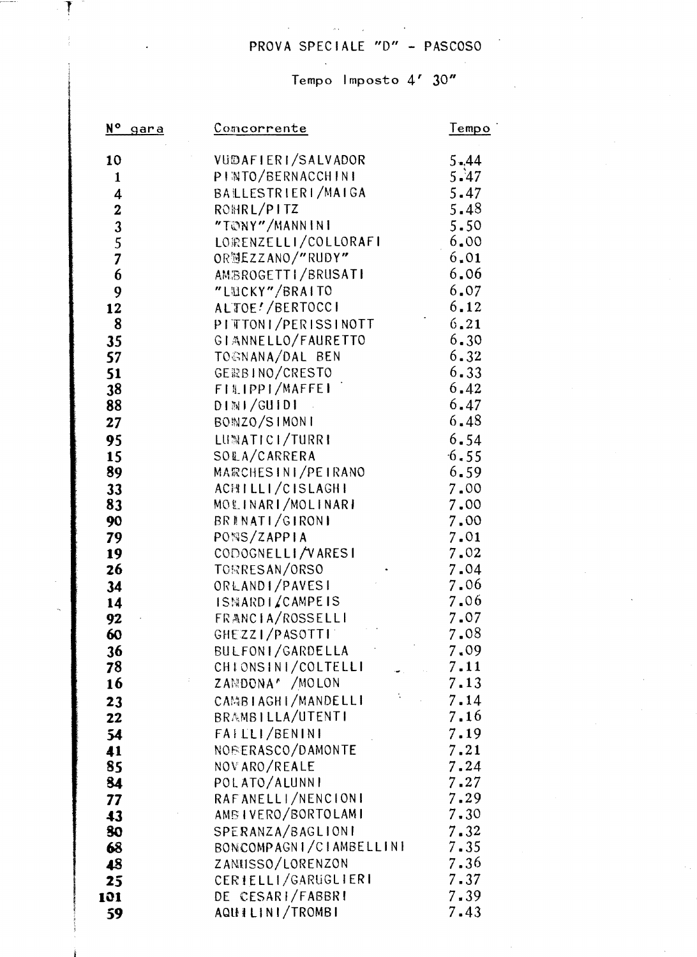## PROVA SPECIALE "D" - PASCOSO

#### Tempo Imposto 4' 30"

| N <sup>o</sup><br>gara                         | <u>Comcorrente</u>            | Tempo        |
|------------------------------------------------|-------------------------------|--------------|
| 10                                             | VUDAFIERI/SALVADOR            | $5 - 44$     |
| $\mathbf{1}$                                   | PINTO/BERNACCHINI             | 5.47         |
| 4                                              | BALLESTRIERI/MAIGA            | 5.47         |
|                                                | ROHRL/PITZ                    | 5.48         |
| $\begin{array}{c}\n23 \\ 35 \\ 7\n\end{array}$ | "TONY"/MANNINI                | 5.50         |
|                                                | LORENZELLI/COLLORAFI          | 6.00         |
|                                                | ORMEZZANO/"RUDY"              | 6.01         |
| 6                                              | AMBROGETTI/BRUSATI            | 6.06         |
| 9                                              | "LUCKY"/BRAITO                | 6.07         |
| 12                                             | ALTOE!/BERTOCCI               | 6.12         |
| 8                                              | PITTONI/PERISSINOTT           | 6, 21        |
| 35                                             | GIANNELLO/FAURETTO            | 6.30         |
| 57                                             | TOGNANA/DAL BEN               | 6.32         |
| 51                                             | GERBINO/CRESTO                | 6.33         |
| 38                                             | FILIPPI/MAFFEI                | 6.42         |
| 88                                             | DIMI/GUIDI                    | 6.47         |
| 27                                             | BONZO/SIMONI                  | 6.48         |
| 95                                             | LUMATICI/TURRI                | 6.54         |
| 15                                             | SOLA/CARRERA                  | 6.55         |
| 89                                             | MARCHESINI/PEIRANO            | 6.59         |
| 33                                             | ACHILLI/CISLAGHI              | 7.00         |
| 83                                             | MOLINARI/MOLINARI             | 7.00         |
| 90                                             | BRINATI/GIRONI<br>PONS/ZAPPIA | 7.00<br>7.01 |
| 79                                             | CODOGNELLI/VARESI             | 7.02         |
| 19<br>26                                       | TORRESAN/ORSO                 | 7.04         |
| 34                                             | ORLANDI/PAVESI                | 7.06         |
| 14                                             | ISMARDIZCAMPEIS               | 7.06         |
| 92                                             | FRANCIA/ROSSELLI              | 7.07         |
| 60                                             | GHEZZI/PASOTTI                | 7.08         |
| 36                                             | BULFONI/GARDELLA              | 7.09         |
| 78                                             | CHIONSINI/COLTELLI            | 7.11         |
| 16                                             | ZANDONA <sup>r</sup> / MOLON  | 7.13         |
| 23                                             | CAMBIAGHI/MANDELLI            | 7.14         |
| 22                                             | BRAMBILLA/UTENTI              | 7.16         |
| 54                                             | FAILLI/BENINI                 | 7.19         |
| 41                                             | NOBERASCO/DAMONTE             | 7.21         |
| 85                                             | NOVARO/REALE                  | 7.24         |
| 84                                             | POLATO/ALUNNI                 | 7.27         |
| 77                                             | RAFANELLI/NENCIONI            | 7.29         |
| 43                                             | AMBIVERO/BORTOLAMI            | 7.30         |
| 80                                             | SPERANZA/BAGLIONI             | 7.32         |
| 68                                             | BONCOMPAGNI/CIAMBELLINI       | $7 - 35$     |
| 48                                             | ZANUSSO/LORENZON              | 7.36         |
| 25                                             | CERIELLI/GARUGLIERI           | $7 - 37$     |
| 101                                            | DE CESARI/FABBRI              | 7.39         |
| 59                                             | AQUILINI/TROMBI               | 7.43         |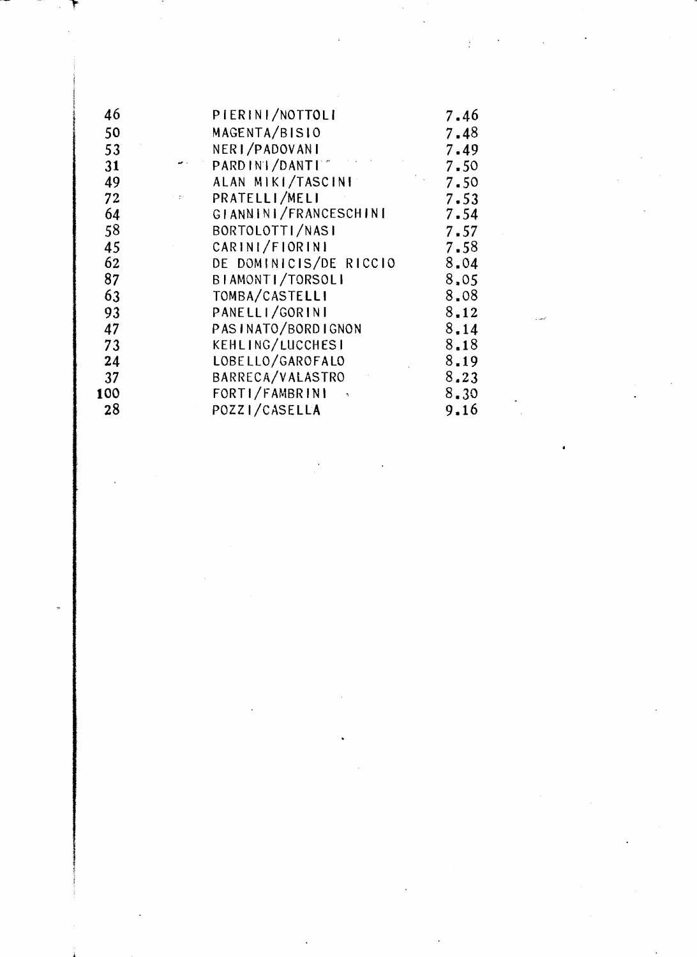| 46  | PIERINI/NOTTOLI        | 7.46     |
|-----|------------------------|----------|
| 50  | MAGENTA/BISIO          | 7.48     |
| 53  | NERI/PADOVANI          | 7.49     |
| 31  | PARD IN   / DANT   "   | 7.50     |
| 49  | ALAN MIKI/TASCINI      | 7.50     |
| 72  | PRATELLI/MELI          | 7.53     |
| 64  | GIANNINI/FRANCESCHINI  | $7 - 54$ |
| 58  | BORTOLOTTI/NASI        | 7.57     |
| 45  | CARINI/FIORINI         | 7.58     |
| 62  | DE DOMINICIS/DE RICCIO | 8.04     |
| 87  | BIAMONTI/TORSOLI       | 8,05     |
| 63  | TOMBA/CASTELLI         | 8.08     |
| 93  | PANELLI/GORINI         | $8 - 12$ |
| 47  | PASINATO/BORDIGNON     | 8,14     |
| 73  | KEHLING/LUCCHESI       | 8.18     |
| 24  | LOBELLO/GAROFALO       | 8.19     |
| 37  | BARRECA/VALASTRO       | 8.23     |
| 100 | FORTI/FAMBRINI         | 8.30     |
| 28  | POZZI/CASELLA          | 9.16     |

 $\frac{1}{\sqrt{2}}\sum_{i=1}^{n} \frac{1}{\sqrt{2}}\left(\frac{1}{\sqrt{2}}\right)^2\left(\frac{1}{\sqrt{2}}\right)^2.$ 

 $\mathcal{L}_{\mathcal{A}}$ 

 $\mathcal{L}(\mathcal{L})$  and  $\mathcal{L}(\mathcal{L})$ 

 $\label{eq:2.1} \frac{1}{\sqrt{2}}\int_{0}^{\infty}\frac{1}{\sqrt{2\pi}}\left(\frac{1}{\sqrt{2\pi}}\right)^{2}d\mu\,d\mu\,.$ 

 $\mathcal{L}_{\text{max}}$  ,  $\mathcal{L}_{\text{max}}$ 

 $\mathcal{L}_{\text{max}}$ 

 $\frac{1}{2}$ 

 $\label{eq:2.1} \frac{1}{\sqrt{2}}\int_{0}^{\sqrt{2}}\frac{1}{\sqrt{2}}\left(\frac{1}{\sqrt{2}}\right)^{2}e^{-\frac{1}{2}}\left(\frac{1}{\sqrt{2}}\right)^{2}e^{-\frac{1}{2}}\left(\frac{1}{\sqrt{2}}\right)^{2}e^{-\frac{1}{2}}\left(\frac{1}{\sqrt{2}}\right)^{2}e^{-\frac{1}{2}}\left(\frac{1}{\sqrt{2}}\right)^{2}e^{-\frac{1}{2}}\left(\frac{1}{\sqrt{2}}\right)^{2}e^{-\frac{1}{2}}\left(\frac{1}{\sqrt{2}}\right)^{2}$ 

 $\langle \cdot \rangle$ 

 $\label{eq:2.1} \frac{1}{\sqrt{2}}\int_{\mathbb{R}^3}\frac{1}{\sqrt{2}}\left(\frac{1}{\sqrt{2}}\right)^2\frac{1}{\sqrt{2}}\left(\frac{1}{\sqrt{2}}\right)^2\frac{1}{\sqrt{2}}\left(\frac{1}{\sqrt{2}}\right)^2\frac{1}{\sqrt{2}}\left(\frac{1}{\sqrt{2}}\right)^2.$ 

المعدد

 $\mathcal{F}_{\text{max}}$ 

 $\sim 30\%$ 

 $\hat{\mathcal{L}}$ 

 $\label{eq:2.1} \frac{1}{\sqrt{2}}\left(\frac{1}{\sqrt{2}}\right)^{2} \left(\frac{1}{\sqrt{2}}\right)^{2} \left(\frac{1}{\sqrt{2}}\right)^{2} \left(\frac{1}{\sqrt{2}}\right)^{2} \left(\frac{1}{\sqrt{2}}\right)^{2} \left(\frac{1}{\sqrt{2}}\right)^{2} \left(\frac{1}{\sqrt{2}}\right)^{2} \left(\frac{1}{\sqrt{2}}\right)^{2} \left(\frac{1}{\sqrt{2}}\right)^{2} \left(\frac{1}{\sqrt{2}}\right)^{2} \left(\frac{1}{\sqrt{2}}\right)^{2} \left(\$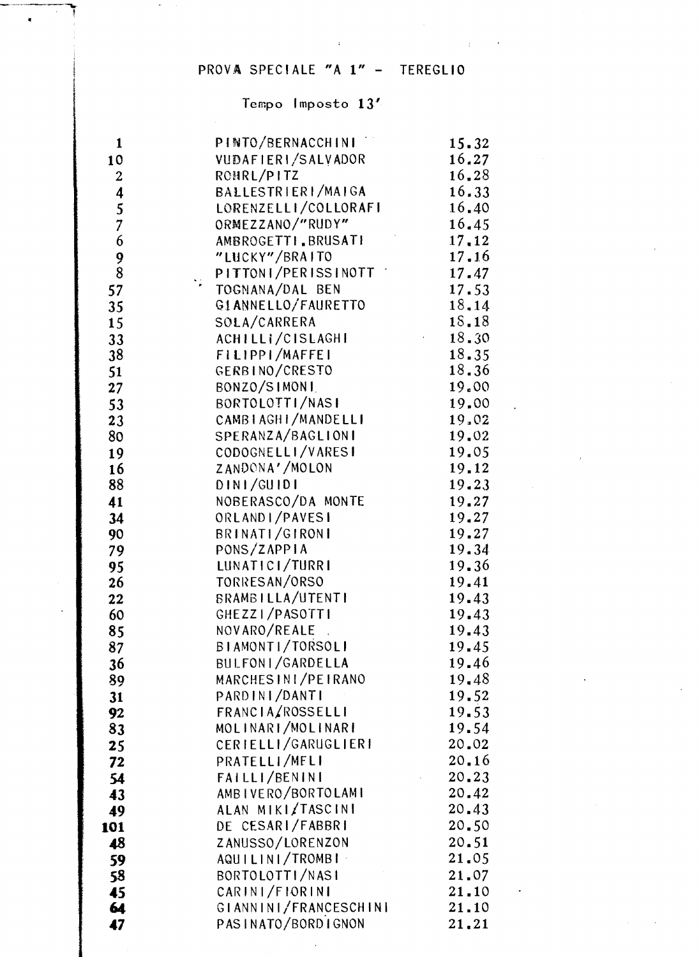## PROVA SPECIALE "A 1" - TEREGLIO

 $\sim 200$ 

 $\sim$   $\lambda$ 

## Tempo Imposto  $13'$

| 1                | PINTO/BERNACCHINI                | 15.32          |
|------------------|----------------------------------|----------------|
| 10               | VUDAFIERI/SALVADOR               | 16.27          |
| $\boldsymbol{2}$ | ROHRL/PITZ                       | 16.28          |
|                  | BALLESTRIERI/MAIGA               | 16.33          |
| $\frac{4}{5}$    | LORENZELLI/COLLORAFI             | 16,40          |
| $\overline{7}$   | ORMEZZANO/"RUDY"                 | 16.45          |
| 6                | AMBROGETTI BRUSATI               | 17.12          |
| 9                | "LUCKY"/BRAITO                   | 17.16          |
| $\overline{8}$   | PITTONI/PERISSINOTT              | 17.47          |
| 57               | TOGNANA/DAL BEN                  | 17.53          |
| 35               | GIANNELLO/FAURETTO               | 18, 14         |
| 15               | SOLA/CARRERA                     | 18.18          |
| 33               | ACHILLI/CISLAGHI                 | 18,30          |
| 38               | FILIPPI/MAFFEI                   | 18.35          |
| 51               | GERBINO/CRESTO                   | 18.36          |
| 27               | BONZO/SIMONI                     | 19.00          |
| 53               | BORTOLOTTI/NASI                  | 19.00          |
| 23               | CAMBIAGHI/MANDELLI               | 19.02          |
| 80               | SPERANZA/BAGLIONI                | 19.02          |
| 19               | CODOGNELLI/VARESI                | 19.05          |
| 16               | ZANDONA'/MOLON                   | 19.12          |
| 88               | DINI/GUIDI                       | 19.23          |
| 41               | NOBERASCO/DA MONTE               | 19.27          |
| 34               | ORLANDI/PAVESI                   | 19.27          |
| 90               | BRINATI/GIRONI                   | 19.27          |
| 79               | PONS/ZAPPIA                      | 19.34          |
| 95               | LUNATICI/TURRI                   | 19.36          |
| 26               | TORRESAN/ORSO                    | 19.41          |
| 22               | BRAMBILLA/UTENTI                 | 19.43          |
| 60               | GHEZZI/PASOTTI                   | 19.43          |
| 85               | NOVARO/REALE<br>BIAMONTI/TORSOLI | 19.43          |
| 87               | BULFONI/GARDELLA                 | 19.45          |
| 36               | MARCHESINI/PEIRANO               | 19.46<br>19.48 |
| 89               | PARDINI/DANTI                    | 19.52          |
| 31               | FRANCIA/ROSSELLI                 | 19.53          |
| 92<br>83         | MOLINARI/MOLINARI                | 19.54          |
| 25               | CERIELLI/GARUGLIERI              | 20.02          |
| 72               | PRATELLI/MELI                    | 20.16          |
| 54               | FAILLI/BENINI                    | 20.23          |
| 43               | AMBIVERO/BORTOLAMI               | 20.42          |
| 49               | ALAN MIKI/TASCINI                | 20.43          |
| 101              | DE CESARI/FABBRI                 | 20.50          |
| 48               | ZANUSSO/LORENZON                 | 20.51          |
| 59               | AQUILINI/TROMBI                  | 21.05          |
| 58               | BORTOLOTTI/NASI                  | 21.07          |
| 45               | CARINI/FIORINI                   | 21.10          |
| 64               | GIANNINI/FRANCESCHINI            | 21.10          |
| 47               | PASINATO/BORDIGNON               | 21.21          |
|                  |                                  |                |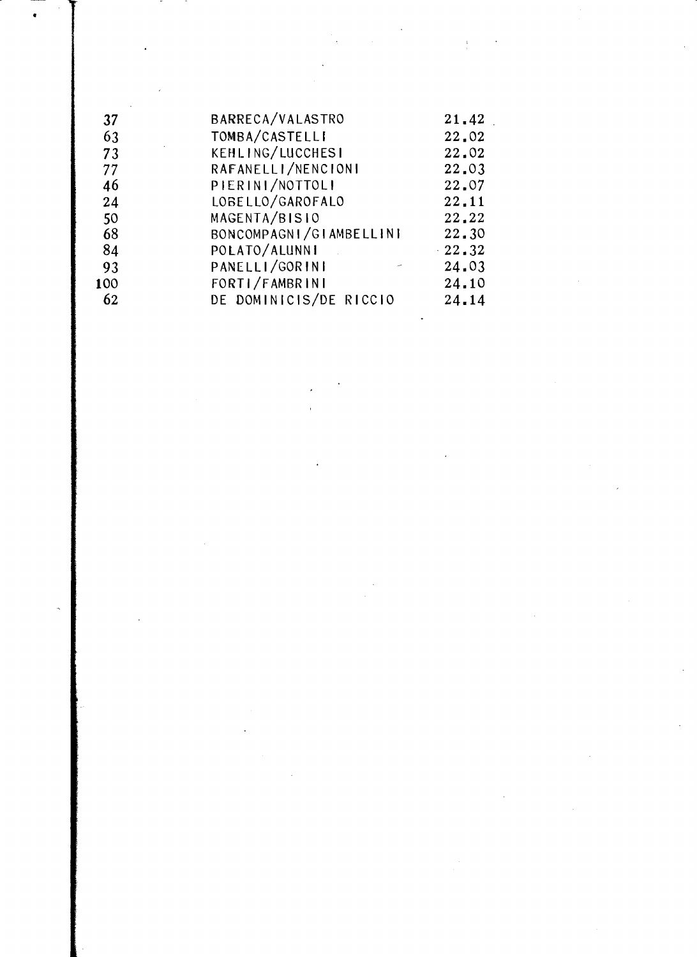| BARRECA/VALASTRO   | 21.42                                                                               |
|--------------------|-------------------------------------------------------------------------------------|
| TOMBA/CASTELLI     | 22.02                                                                               |
| KEHLING/LUCCHESI   | 22.02                                                                               |
| RAFANELLI/NENCIONI | 22.03                                                                               |
| PIERINI/NOTTOLI    | 22.07                                                                               |
| LOBELLO/GAROFALO   | 22,11                                                                               |
|                    | 22,22                                                                               |
|                    | 22.30                                                                               |
|                    | $\cdot$ 22.32                                                                       |
| PANELLI/GORINI     | 24.03                                                                               |
| FORTI/FAMBRINI     | 24.10                                                                               |
|                    | 24.14                                                                               |
|                    | MAGENTA/BISIO<br>BONCOMPAGNI/GIAMBELLINI<br>POLATO/ALUNNI<br>DE DOMINICIS/DE RICCIO |

 $\label{eq:2.1} \frac{1}{\sqrt{2}}\int_{0}^{\infty}\frac{1}{\sqrt{2\pi}}\left(\frac{1}{\sqrt{2\pi}}\right)^{2}d\mu\int_{0}^{\infty}\frac{1}{\sqrt{2\pi}}\left(\frac{1}{\sqrt{2\pi}}\right)^{2}d\mu\int_{0}^{\infty}\frac{1}{\sqrt{2\pi}}\frac{1}{\sqrt{2\pi}}\frac{1}{\sqrt{2\pi}}\frac{1}{\sqrt{2\pi}}\frac{1}{\sqrt{2\pi}}\frac{1}{\sqrt{2\pi}}\frac{1}{\sqrt{2\pi}}\frac{1}{\sqrt{2\pi}}\frac{1}{\sqrt{$ 

 $\label{eq:2.1} \frac{1}{\sqrt{2}}\int_{\mathbb{R}^3}\frac{1}{\sqrt{2}}\left(\frac{1}{\sqrt{2}}\right)^2\frac{1}{\sqrt{2}}\left(\frac{1}{\sqrt{2}}\right)^2\frac{1}{\sqrt{2}}\left(\frac{1}{\sqrt{2}}\right)^2\frac{1}{\sqrt{2}}\left(\frac{1}{\sqrt{2}}\right)^2.$ 

•

 $\langle \cdot \rangle$ 

 $\mathcal{L}^{\text{max}}$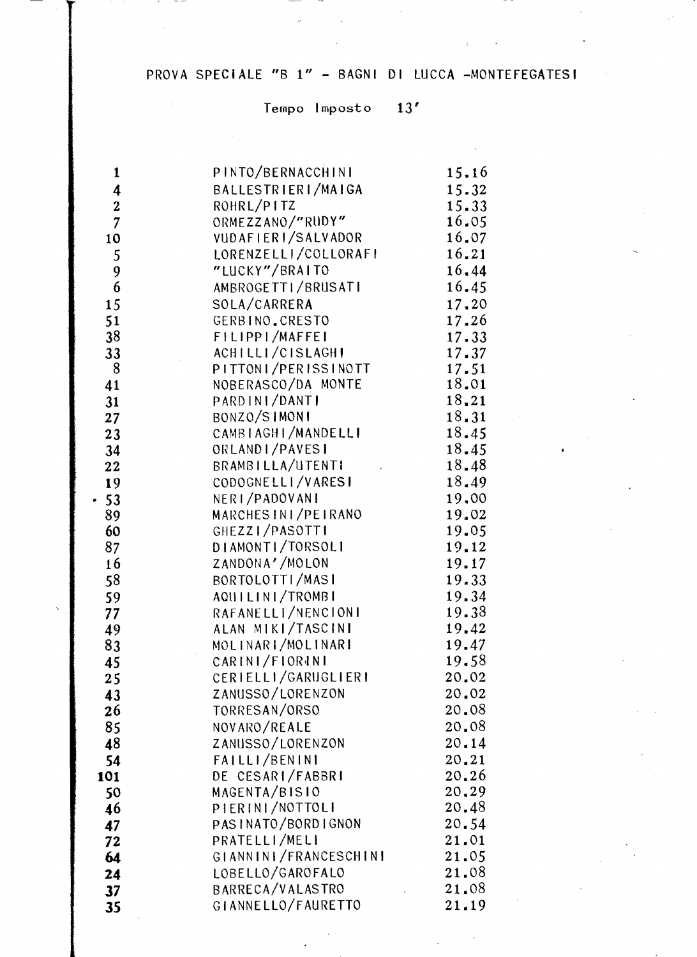# PROVA SPECIALE "B 1" - BAGNI DI LUCCA -MONTEFEGATESI

## Tempo Imposto 13'

 $\label{eq:2.1} \left\langle \left( \mathbf{a} \mathbf{b} \right) \right\rangle = \left\langle \left( \mathbf{a} \mathbf{b} \right) \right\rangle$ 

the community of the community

 $\sim$ 

| 1                | PINTO/BERNACCHINI     | 15.16 |
|------------------|-----------------------|-------|
| 4                | BALLESTRIERI/MAIGA    | 15.32 |
| $\boldsymbol{2}$ | ROHRL/PITZ            | 15.33 |
| $\overline{7}$   | ORMEZZANO/"RUDY"      | 16.05 |
| 10               | VUDAFIERI/SALVADOR    | 16.07 |
| 5                | LORENZELLI/COLLORAFI  | 16.21 |
| 9                | "LUCKY"/BRAITO        | 16.44 |
| 6                | AMBROGETTI/BRUSATI    | 16.45 |
| 15               | SOLA/CARRERA          | 17.20 |
|                  | GERBINO.CRESTO        | 17.26 |
| 51               |                       |       |
| 38               | FILIPPI/MAFFEI        | 17.33 |
| 33               | ACHILLI/CISLAGHI      | 17.37 |
| 8                | PITTONI/PERISSINOTT   | 17.51 |
| 41               | NOBERASCO/DA MONTE    | 18.01 |
| 31               | PARDINI/DANTI         | 18.21 |
| 27               | BONZO/SIMONI          | 18.31 |
| 23               | CAMBIAGHI/MANDELLI    | 18.45 |
| 34               | ORLANDI/PAVESI        | 18.45 |
| 22               | BRAMBILLA/UTENTI      | 18.48 |
| 19               | CODOGNELLI/VARESI     | 18.49 |
| $-53$            | NERI/PADOVANI         | 19.00 |
| 89               | MARCHES IN I/PEIRANO  | 19.02 |
| 60               | GHEZZI/PASOTTI        | 19.05 |
| 87               | DIAMONTI/TORSOLI      | 19.12 |
| 16               | ZANDONA'/MOLON        | 19.17 |
| 58               | BORTOLOTTI/MASI       | 19.33 |
| 59               | AQUILINI/TROMBI       | 19.34 |
| 77               | RAFANELLI/NENCIONI    | 19.38 |
| 49               | ALAN MIKI/TASCINI     | 19.42 |
| 83               | MOLINARI/MOLINARI     | 19.47 |
| 45               | CARINI/FIORINI        | 19.58 |
| 25               | CERIELLI/GARUGLIERI   | 20.02 |
| 43               | ZANUSSO/LORENZON      | 20.02 |
| 26               | TORRESAN/ORSO         | 20.08 |
| 85               | NOVARO/REALE          | 20.08 |
|                  | ZANUSSO/LORENZON      | 20.14 |
| 48               |                       | 20.21 |
| 54               | FAILLI/BENINI         |       |
| 101              | DE CESARI/FABBRI      | 20.26 |
| 50               | MAGENTA/BISIO         | 20.29 |
| 46               | PIERINI/NOTTOLI       | 20.48 |
| 47               | PASINATO/BORDIGNON    | 20.54 |
| 72               | PRATELLI/MELI         | 21.01 |
| 64               | GIANNINI/FRANCESCHINI | 21.05 |
| 24               | LOBELLO/GAROFALO      | 21.08 |
| 37               | BARRECA/VALASTRO      | 21.08 |
| 35               | GIANNELLO/FAURETTO    | 21.19 |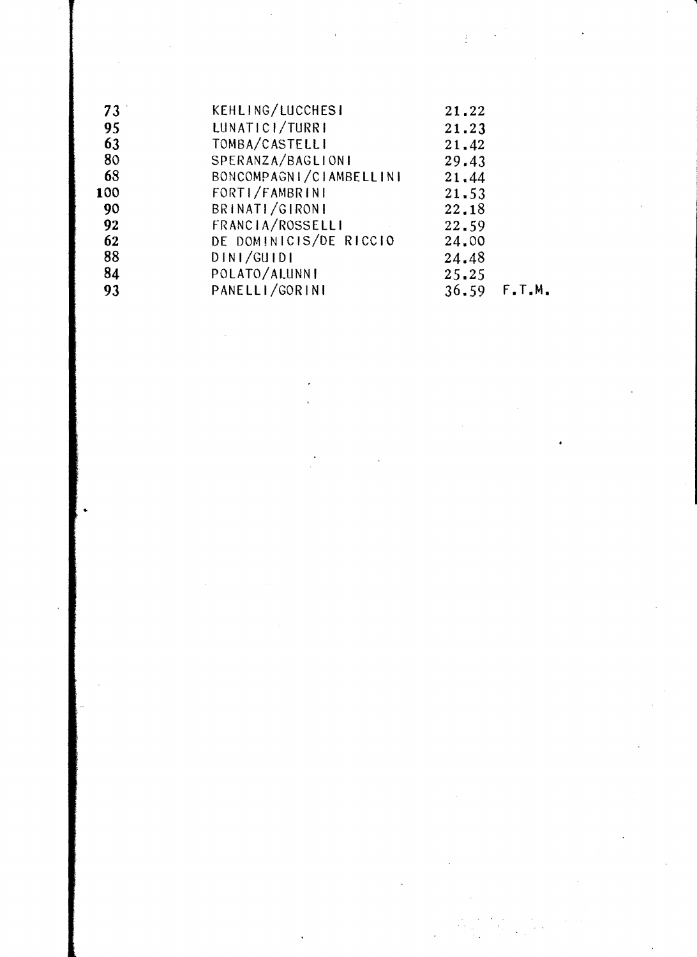| 73  | KEHLING/LUCCHESI        | 21.22 |                  |
|-----|-------------------------|-------|------------------|
| 95  | LUNATICI/TURRI          | 21.23 |                  |
| 63  | TOMBA/CASTELLI          | 21.42 |                  |
| 80  | SPERANZA/BAGLIONI       | 29.43 |                  |
| 68  | BONCOMPAGNI/CIAMBELLINI | 21.44 |                  |
| 100 | FORTI/FAMBRINI          | 21.53 |                  |
| 90  | BRINATI/GIRONI          | 22.18 |                  |
| 92  | FRANCIA/ROSSELLI        | 22.59 |                  |
| 62  | DE DOMINICIS/DE RICCIO  | 24.00 |                  |
| 88  | DINI/GUIDI              | 24.48 |                  |
| 84  | POLATO/ALUNNI           | 25.25 |                  |
| 93  | PANELLI/GORINI          |       | $36.59$ $F.T.M.$ |
|     |                         |       |                  |

 $\label{eq:2.1} \frac{1}{\sqrt{2\pi}}\int_{0}^{\infty}\frac{1}{\sqrt{2\pi}}\left(\frac{1}{\sqrt{2\pi}}\right)^{2\alpha} \frac{1}{\sqrt{2\pi}}\frac{1}{\sqrt{2\pi}}\int_{0}^{\infty}\frac{1}{\sqrt{2\pi}}\frac{1}{\sqrt{2\pi}}\frac{1}{\sqrt{2\pi}}\frac{1}{\sqrt{2\pi}}\frac{1}{\sqrt{2\pi}}\frac{1}{\sqrt{2\pi}}\frac{1}{\sqrt{2\pi}}\frac{1}{\sqrt{2\pi}}\frac{1}{\sqrt{2\pi}}\frac{1}{\sqrt{2\pi}}\frac{$ 

 $\label{eq:2} \frac{1}{\sqrt{2}}\int_{0}^{\pi}\frac{1}{\sqrt{2}}\left(\frac{1}{\sqrt{2}}\right)^{2}dx$ 

 $\mathcal{L}_{\mathcal{A}}$ 

 $\sim$   $\sim$ 

 $\label{eq:2} \frac{1}{\sqrt{2}}\int_{0}^{\infty}\frac{1}{\sqrt{2\pi}}\left(\frac{1}{\sqrt{2\pi}}\right)^{2}d\mu_{\rm{max}}\left(\frac{1}{\sqrt{2\pi}}\right).$ 

 $\mathcal{L}^{\text{max}}_{\text{max}}$ 

 $\label{eq:2} \frac{1}{\sqrt{2}}\int_{0}^{\infty}\frac{1}{\sqrt{2\pi}}\left(\frac{1}{\sqrt{2}}\right)^{2}d\mu_{\rm{eff}}\,.$ 

 $\mathcal{L}(\mathcal{L})$  and  $\mathcal{L}(\mathcal{L})$  . In the  $\mathcal{L}(\mathcal{L})$ 

 $\label{eq:2.1} \frac{1}{2} \sum_{i=1}^n \frac{1}{2} \sum_{j=1}^n \frac{1}{2} \sum_{j=1}^n \frac{1}{2} \sum_{j=1}^n \frac{1}{2} \sum_{j=1}^n \frac{1}{2} \sum_{j=1}^n \frac{1}{2} \sum_{j=1}^n \frac{1}{2} \sum_{j=1}^n \frac{1}{2} \sum_{j=1}^n \frac{1}{2} \sum_{j=1}^n \frac{1}{2} \sum_{j=1}^n \frac{1}{2} \sum_{j=1}^n \frac{1}{2} \sum_{j=1}^n \frac{$ 

 $\label{eq:2} \frac{1}{\sqrt{2}}\left(\frac{1}{\sqrt{2}}\right)^2$ 

..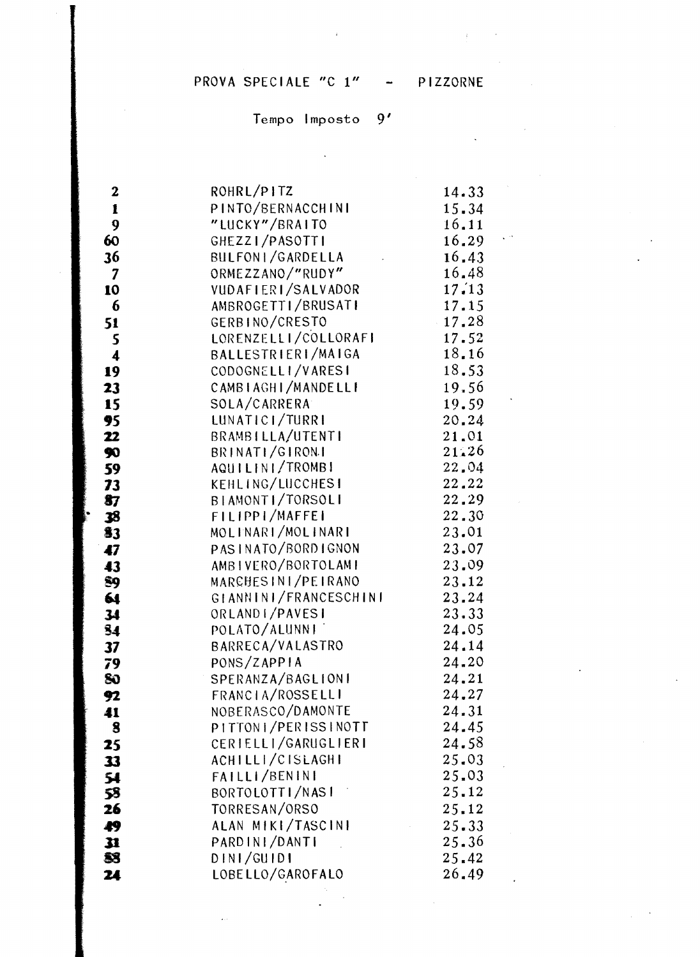#### PROVA SPECIALE "C 1" - PIZZORNE

#### Tempo Imposto 9'

| $\boldsymbol{2}$        | ROHRL/PITZ            | 14.33 |
|-------------------------|-----------------------|-------|
| $\mathbf{1}$            | PINTO/BERNACCHINI     | 15.34 |
| 9                       | "LUCKY"/BRAITO        | 16.11 |
| 60                      | GHEZZI/PASOTTI        | 16.29 |
| 36                      | BULFONI/GARDELLA      | 16.43 |
| $\overline{\mathbf{7}}$ | ORMEZZANO/"RUDY"      | 16.48 |
| 10                      | VUDAFIERI/SALVADOR    | 17.13 |
| 6                       | AMBROGETTI/BRUSATI    | 17.15 |
| 51                      | GERBINO/CRESTO        | 17.28 |
| 5                       | LORENZELLI/COLLORAFI  | 17.52 |
| $\overline{\mathbf{4}}$ | BALLESTRIERI/MAIGA    | 18.16 |
| 19                      | CODOGNELLI/VARESI     | 18.53 |
| 23                      | CAMBIAGHI/MANDELLI    | 19,56 |
| 15                      | SOLA/CARRERA          | 19.59 |
| 95                      | LUNATICI/TURRI        | 20.24 |
| 22                      | BRAMBILLA/UTENTI      | 21.01 |
| 90                      | BRINATI/GIRONI        | 21.26 |
| 59                      | AQUILINI/TROMBI       | 22.04 |
| 73                      | KEHLING/LUCCHESI      | 22.22 |
| 87                      | BIAMONTI/TORSOLI      | 22.29 |
| 38                      | FILIPPI/MAFFEI        | 22.30 |
| \$3                     | MOLINARI/MOLINARI     | 23.01 |
| 47                      | PASINATO/BORDIGNON    | 23.07 |
| 43                      | AMBIVERO/BORTOLAMI    | 23.09 |
| 89                      | MARCHESINI/PEIRANO    | 23.12 |
| 64                      | GIANNINI/FRANCESCHINI | 23.24 |
| 34                      | ORLANDI/PAVESI        | 23.33 |
| 84                      | POLATO/ALUNNI         | 24.05 |
| 37                      | BARRECA/VALASTRO      | 24.14 |
| 79                      | PONS/ZAPPIA           | 24.20 |
| 80                      | SPERANZA/BAGLIONI     | 24.21 |
| 92                      | FRANCIA/ROSSELLI      | 24.27 |
| 41                      | NOBERASCO/DAMONTE     | 24.31 |
| 8                       | PITTON I/PERISSINOTT  | 24.45 |
| 25                      | CERIELLI/GARUGLIERI   | 24.58 |
| 33                      | ACHILLI/CISLAGHI      | 25.03 |
| 54                      | FAILLI/BENINI         | 25.03 |
| 58                      | BORTOLOTTI/NASI       | 25.12 |
| 26                      | TORRESAN/ORSO         | 25.12 |
| 49                      | ALAN MIKI/TASCINI     | 25.33 |
| 31                      | PARDINI/DANTI         | 25.36 |
| 88                      | DINI/GUIDI            | 25.42 |
| 24                      | LOBELLO/GAROFALO      | 26.49 |

 $\mathcal{A}^{\pm}$ 

 $\mathbf{r}$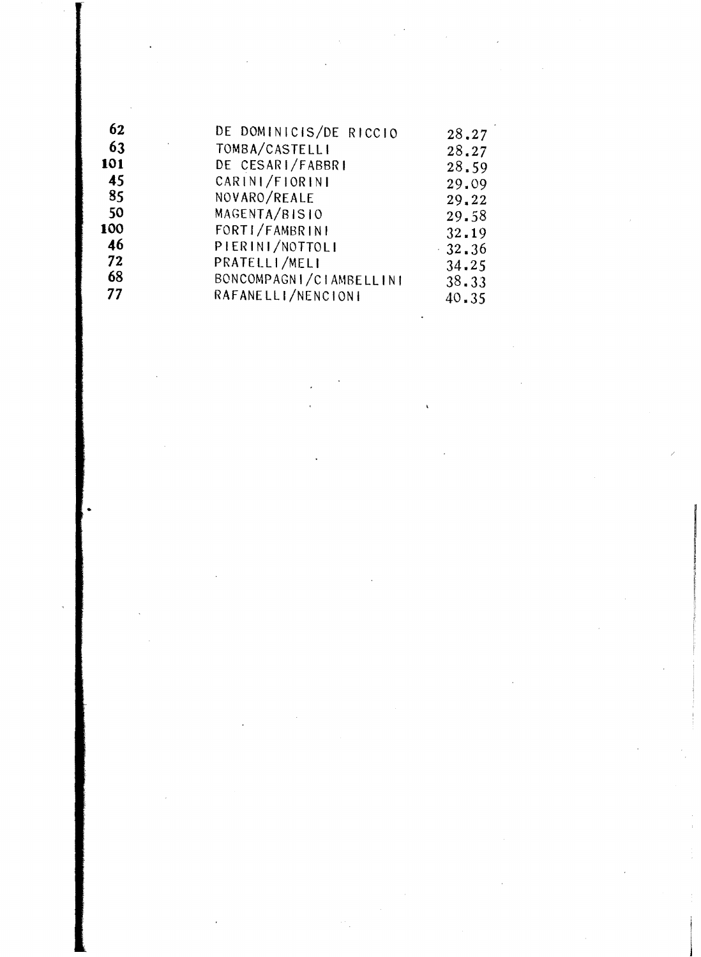| 62  | DE DOMINICIS/DE RICCIO  | 28.27           |
|-----|-------------------------|-----------------|
| 63  | TOMBA/CASTELLI          | 28,27           |
| 101 | DE CESARI/FABBRI        | 28.59           |
| 45  | CARINI/FIORINI          | 29.09           |
| 85  | NOVARO/REALE            | 29.22           |
| 50  | MAGENTA/BISIO           | 29.58           |
| 100 | FORTI/FAMBRINI          | 32.19           |
| 46  | PIERINI/NOTTOLI         | $-32 \times 36$ |
| 72  | PRATELLI/MELI           | 34.25           |
| 68  | BONCOMPAGNI/CIAMBELLINI | 38.33           |
| 77  | RAFANELLI/NENCIONI      | 40.35           |
|     |                         |                 |
|     |                         |                 |

 $\label{eq:2.1} \frac{1}{\sqrt{2}}\int_{\mathbb{R}^3} \frac{1}{\sqrt{2}}\left(\frac{1}{\sqrt{2}}\right)^2\frac{1}{\sqrt{2}}\left(\frac{1}{\sqrt{2}}\right)^2\frac{1}{\sqrt{2}}\left(\frac{1}{\sqrt{2}}\right)^2.$ 

 $\mathcal{L}_{\mathcal{A}}$ 

 $\mathcal{L}^{\text{max}}_{\text{max}}$ 

 $\mathcal{L}(\mathcal{L})$  and  $\mathcal{L}(\mathcal{L})$ 

 $\label{eq:2.1} \frac{1}{\sqrt{2}}\sum_{i=1}^n\frac{1}{\sqrt{2}}\sum_{i=1}^n\frac{1}{\sqrt{2}}\sum_{i=1}^n\frac{1}{\sqrt{2}}\sum_{i=1}^n\frac{1}{\sqrt{2}}\sum_{i=1}^n\frac{1}{\sqrt{2}}\sum_{i=1}^n\frac{1}{\sqrt{2}}\sum_{i=1}^n\frac{1}{\sqrt{2}}\sum_{i=1}^n\frac{1}{\sqrt{2}}\sum_{i=1}^n\frac{1}{\sqrt{2}}\sum_{i=1}^n\frac{1}{\sqrt{2}}\sum_{i=1}^n\frac$ 

 $\mathcal{L}^{\text{max}}_{\text{max}}$ 

 $\label{eq:2.1} \frac{1}{\sqrt{2}}\left(\frac{1}{\sqrt{2}}\right)^{2} \left(\frac{1}{\sqrt{2}}\right)^{2} \left(\frac{1}{\sqrt{2}}\right)^{2} \left(\frac{1}{\sqrt{2}}\right)^{2} \left(\frac{1}{\sqrt{2}}\right)^{2} \left(\frac{1}{\sqrt{2}}\right)^{2} \left(\frac{1}{\sqrt{2}}\right)^{2} \left(\frac{1}{\sqrt{2}}\right)^{2} \left(\frac{1}{\sqrt{2}}\right)^{2} \left(\frac{1}{\sqrt{2}}\right)^{2} \left(\frac{1}{\sqrt{2}}\right)^{2} \left(\$ 

 $\label{eq:2.1} \frac{1}{\sqrt{2}}\int_{\mathbb{R}^3}\frac{1}{\sqrt{2}}\left(\frac{1}{\sqrt{2}}\right)^2\frac{1}{\sqrt{2}}\left(\frac{1}{\sqrt{2}}\right)^2\frac{1}{\sqrt{2}}\left(\frac{1}{\sqrt{2}}\right)^2\frac{1}{\sqrt{2}}\left(\frac{1}{\sqrt{2}}\right)^2.$ 

 $\label{eq:2.1} \mathcal{L}=\mathcal{L}(\mathcal{L}^{(1)})\otimes\mathcal{L}^{(2)}(\mathcal{L}^{(2)})$ 

•

 $\sim 10^{-1}$ 

 $\label{eq:2.1} \frac{1}{\sqrt{2\pi}}\int_{0}^{\infty}\frac{1}{\sqrt{2\pi}}\left(\frac{1}{\sqrt{2\pi}}\right)^{2\alpha} \frac{1}{\sqrt{2\pi}}\int_{0}^{\infty}\frac{1}{\sqrt{2\pi}}\frac{1}{\sqrt{2\pi}}\frac{1}{\sqrt{2\pi}}\frac{1}{\sqrt{2\pi}}\frac{1}{\sqrt{2\pi}}\frac{1}{\sqrt{2\pi}}\frac{1}{\sqrt{2\pi}}\frac{1}{\sqrt{2\pi}}\frac{1}{\sqrt{2\pi}}\frac{1}{\sqrt{2\pi}}\frac{1}{\sqrt{2\pi}}\frac{$ 

 $\label{eq:2.1} \frac{1}{\sqrt{2\pi}}\sum_{i=1}^n\frac{1}{\sqrt{2\pi}}\sum_{i=1}^n\frac{1}{\sqrt{2\pi}}\sum_{i=1}^n\frac{1}{\sqrt{2\pi}}\sum_{i=1}^n\frac{1}{\sqrt{2\pi}}\sum_{i=1}^n\frac{1}{\sqrt{2\pi}}\sum_{i=1}^n\frac{1}{\sqrt{2\pi}}\sum_{i=1}^n\frac{1}{\sqrt{2\pi}}\sum_{i=1}^n\frac{1}{\sqrt{2\pi}}\sum_{i=1}^n\frac{1}{\sqrt{2\pi}}\sum_{i=1}^n\$ 

 $\sim 10^{-1}$ 

 $\label{eq:2.1} \frac{1}{\sqrt{2}}\int_{\mathbb{R}^3}\frac{1}{\sqrt{2}}\left(\frac{1}{\sqrt{2}}\right)^2\frac{1}{\sqrt{2}}\left(\frac{1}{\sqrt{2}}\right)^2\frac{1}{\sqrt{2}}\left(\frac{1}{\sqrt{2}}\right)^2\frac{1}{\sqrt{2}}\left(\frac{1}{\sqrt{2}}\right)^2.$ 

 $\hat{A}$